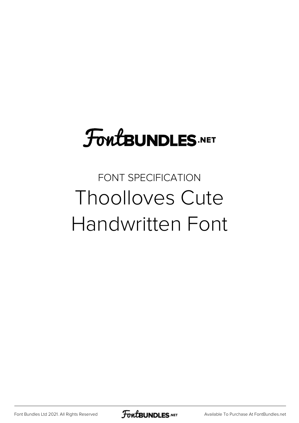# **FoutBUNDLES.NET**

# FONT SPECIFICATION Thoolloves Cute Handwritten Font

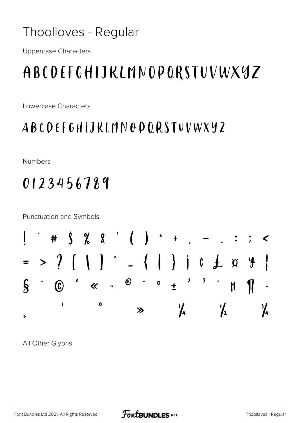#### Thoolloves - Regular

**Uppercase Characters** 

## ABCDEFGHIJKLMNOPORSTUVWXYZ

Lowercase Characters

#### **ABCDEFGHIJKLMNODQRSTUVWXYZ**

**Numbers** 

### 0123456789

**Punctuation and Symbols** 



All Other Glyphs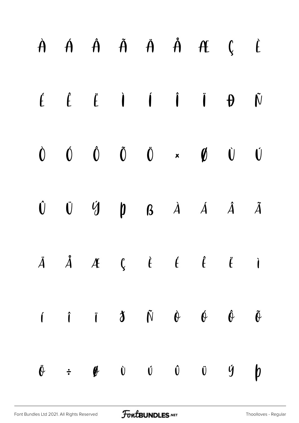|  |  |  | $\dot{A}$ $\dot{A}$ $\dot{A}$ $\ddot{A}$ $\dot{A}$ $\dot{A}$ $\dot{C}$ $\dot{C}$                                                                                                                                                                                                                                                                                                                                            |                  |
|--|--|--|-----------------------------------------------------------------------------------------------------------------------------------------------------------------------------------------------------------------------------------------------------------------------------------------------------------------------------------------------------------------------------------------------------------------------------|------------------|
|  |  |  | $\begin{array}{ccccccccccccccccc} \acute{E} & \acute{E} & \acute{E} & \acute{I} & \acute{I} & \acute{I} & \acute{I} & \acute{I} & \acute{P} & \acute{N} \end{array}$                                                                                                                                                                                                                                                        |                  |
|  |  |  | $\begin{array}{ccccccccccccccccc} \hat{O} & \hat{O} & \hat{O} & \hat{O} & \hat{O} & \star & \hat{O} & \hat{O} & \hat{O} & \hat{O} & \star & \hat{O} & \hat{O} & \hat{O} & \hat{O} & \star & \hat{O} & \hat{O} & \hat{O} & \star & \hat{O} & \hat{O} & \hat{O} & \star & \hat{O} & \hat{O} & \hat{O} & \star & \hat{O} & \hat{O} & \star & \hat{O} & \hat{O} & \hat{O} & \star & \hat{O} & \hat{O} & \star & \hat{O} & \hat$ |                  |
|  |  |  | $\begin{matrix}\n\mathbf{0} & \mathbf{0} & \mathbf{0} & \mathbf{0} & \mathbf{0} & \mathbf{0} & \mathbf{0} & \mathbf{0} & \mathbf{0}\n\end{matrix}$                                                                                                                                                                                                                                                                          |                  |
|  |  |  | $\ddot{A}$ $\ddot{A}$ $\ddot{A}$ $\ddot{C}$ $\ddot{C}$ $\ddot{C}$ $\ddot{C}$ $\ddot{C}$ $\ddot{C}$ $\ddot{C}$ $\ddot{C}$                                                                                                                                                                                                                                                                                                    |                  |
|  |  |  | $\begin{array}{ccccccccccccccccc}\n\mathbf{i} & \mathbf{i} & \mathbf{j} & \mathbf{k} & \mathbf{0} & \mathbf{0} & \mathbf{0} & \mathbf{0}\n\end{array}$                                                                                                                                                                                                                                                                      |                  |
|  |  |  | $\ddot{\theta}$ = $\theta$ $\dot{\theta}$ $\dot{\theta}$ $\dot{\theta}$ $\dot{\theta}$ $\dot{\theta}$ $\dot{\theta}$                                                                                                                                                                                                                                                                                                        | $\boldsymbol{b}$ |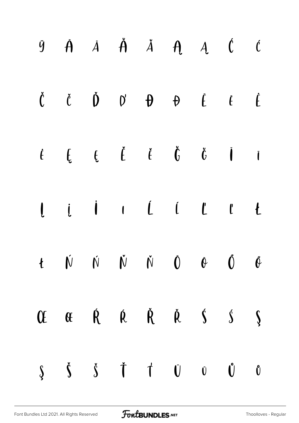|  |  |  | $\begin{array}{ccccccccccccccccc} \dot{y} & \dot{A} & \dot{A} & \dot{A} & \dot{A} & \dot{A} & \dot{A} & \dot{A} & \dot{C} & \dot{C} \end{array}$                                                                                                                                                                                                                                                                                                              |  |
|--|--|--|---------------------------------------------------------------------------------------------------------------------------------------------------------------------------------------------------------------------------------------------------------------------------------------------------------------------------------------------------------------------------------------------------------------------------------------------------------------|--|
|  |  |  | $\begin{array}{ccccccccccccccccc} \check{\mathsf{C}} && \check{\mathsf{C}} && \check{\mathsf{D}} && \mathsf{D}^{\prime} && \mathsf{D} && \mathsf{D} && \mathsf{D} && \mathsf{C} && \check{\mathsf{C}} && \end{array} \qquad \begin{array}{ccccccccccccccccccccc} \check{\mathsf{C}} && \check{\mathsf{C}} && \check{\mathsf{C}} && \check{\mathsf{C}} && \check{\mathsf{C}} && \check{\mathsf{C}} && \check{\mathsf{C}} && \check{\mathsf{C}} && \end{array}$ |  |
|  |  |  | $\begin{array}{cccccccccccccc} \dot{f} & \dot{f} & \dot{f} & \dot{f} & \dot{f} & \dot{f} & \dot{f} & \dot{f} & \dot{f} & \dot{f} & \dot{f} & \dot{f} & \dot{f} & \dot{f} & \dot{f} & \dot{f} & \dot{f} & \dot{f} & \dot{f} & \dot{f} & \dot{f} & \dot{f} & \dot{f} & \dot{f} & \dot{f} & \dot{f} & \dot{f} & \dot{f} & \dot{f} & \dot{f} & \dot{f} & \dot{f} & \dot{f} & \dot{f} & \dot{f} &$                                                                 |  |
|  |  |  |                                                                                                                                                                                                                                                                                                                                                                                                                                                               |  |
|  |  |  | $t \quad \dot{\mathbb{N}} \quad \dot{\mathbb{N}} \quad \dot{\mathbb{N}} \quad \dot{\mathbb{N}} \quad \dot{\mathbb{O}} \quad \dot{\mathbb{O}} \quad \dot{\mathbb{O}} \quad \dot{\mathbb{O}}$                                                                                                                                                                                                                                                                   |  |
|  |  |  | Of $\alpha$ $\dot{R}$ $\dot{R}$ $\dot{R}$ $\dot{S}$ $\dot{S}$                                                                                                                                                                                                                                                                                                                                                                                                 |  |
|  |  |  | $\begin{array}{ccc} \xi & \xi & \xi & \dagger & \dagger & \psi & \psi & \psi \end{array}$                                                                                                                                                                                                                                                                                                                                                                     |  |